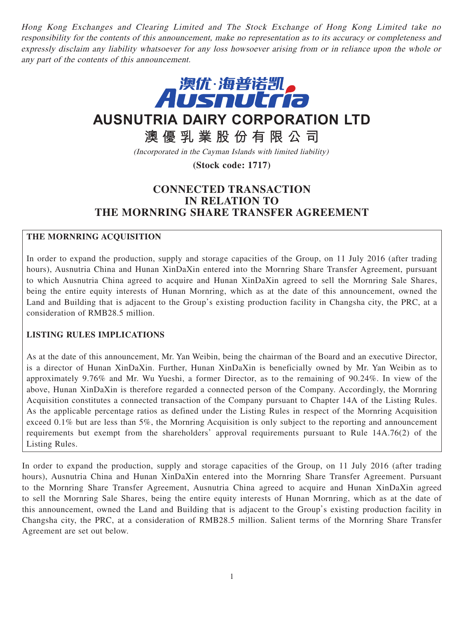Hong Kong Exchanges and Clearing Limited and The Stock Exchange of Hong Kong Limited take no responsibility for the contents of this announcement, make no representation as to its accuracy or completeness and expressly disclaim any liability whatsoever for any loss howsoever arising from or in reliance upon the whole or any part of the contents of this announcement.



# **AUSNUTRIA DAIRY CORPORATION LTD**

**澳優乳業股份有限公司**

(Incorporated in the Cayman Islands with limited liability)

**(Stock code: 1717)**

## **CONNECTED TRANSACTION IN RELATION TO THE MORNRING SHARE TRANSFER AGREEMENT**

## **THE MORNRING ACQUISITION**

In order to expand the production, supply and storage capacities of the Group, on 11 July 2016 (after trading hours), Ausnutria China and Hunan XinDaXin entered into the Mornring Share Transfer Agreement, pursuant to which Ausnutria China agreed to acquire and Hunan XinDaXin agreed to sell the Mornring Sale Shares, being the entire equity interests of Hunan Mornring, which as at the date of this announcement, owned the Land and Building that is adjacent to the Group's existing production facility in Changsha city, the PRC, at a consideration of RMB28.5 million.

## **LISTING RULES IMPLICATIONS**

As at the date of this announcement, Mr. Yan Weibin, being the chairman of the Board and an executive Director, is a director of Hunan XinDaXin. Further, Hunan XinDaXin is beneficially owned by Mr. Yan Weibin as to approximately 9.76% and Mr. Wu Yueshi, a former Director, as to the remaining of 90.24%. In view of the above, Hunan XinDaXin is therefore regarded a connected person of the Company. Accordingly, the Mornring Acquisition constitutes a connected transaction of the Company pursuant to Chapter 14A of the Listing Rules. As the applicable percentage ratios as defined under the Listing Rules in respect of the Mornring Acquisition exceed 0.1% but are less than 5%, the Mornring Acquisition is only subject to the reporting and announcement requirements but exempt from the shareholders' approval requirements pursuant to Rule 14A.76(2) of the Listing Rules.

In order to expand the production, supply and storage capacities of the Group, on 11 July 2016 (after trading hours), Ausnutria China and Hunan XinDaXin entered into the Mornring Share Transfer Agreement. Pursuant to the Mornring Share Transfer Agreement, Ausnutria China agreed to acquire and Hunan XinDaXin agreed to sell the Mornring Sale Shares, being the entire equity interests of Hunan Mornring, which as at the date of this announcement, owned the Land and Building that is adjacent to the Group's existing production facility in Changsha city, the PRC, at a consideration of RMB28.5 million. Salient terms of the Mornring Share Transfer Agreement are set out below.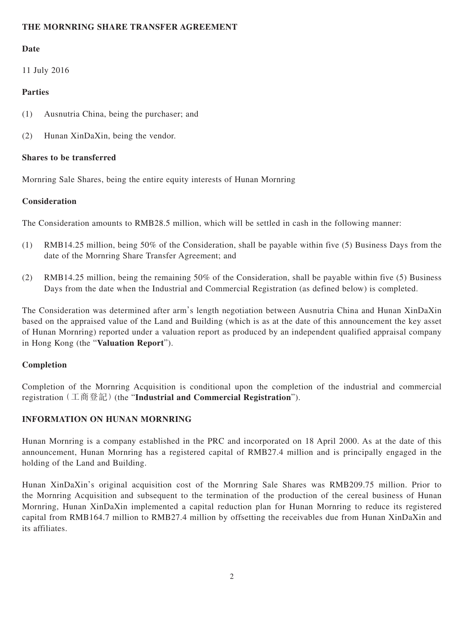## **THE MORNRING SHARE TRANSFER AGREEMENT**

## **Date**

11 July 2016

## **Parties**

- (1) Ausnutria China, being the purchaser; and
- (2) Hunan XinDaXin, being the vendor.

## **Shares to be transferred**

Mornring Sale Shares, being the entire equity interests of Hunan Mornring

## **Consideration**

The Consideration amounts to RMB28.5 million, which will be settled in cash in the following manner:

- (1) RMB14.25 million, being 50% of the Consideration, shall be payable within five (5) Business Days from the date of the Mornring Share Transfer Agreement; and
- (2) RMB14.25 million, being the remaining 50% of the Consideration, shall be payable within five (5) Business Days from the date when the Industrial and Commercial Registration (as defined below) is completed.

The Consideration was determined after arm's length negotiation between Ausnutria China and Hunan XinDaXin based on the appraised value of the Land and Building (which is as at the date of this announcement the key asset of Hunan Mornring) reported under a valuation report as produced by an independent qualified appraisal company in Hong Kong (the "**Valuation Report**").

## **Completion**

Completion of the Mornring Acquisition is conditional upon the completion of the industrial and commercial registration(工商登記)(the "**Industrial and Commercial Registration**").

## **INFORMATION ON HUNAN MORNRING**

Hunan Mornring is a company established in the PRC and incorporated on 18 April 2000. As at the date of this announcement, Hunan Mornring has a registered capital of RMB27.4 million and is principally engaged in the holding of the Land and Building.

Hunan XinDaXin's original acquisition cost of the Mornring Sale Shares was RMB209.75 million. Prior to the Mornring Acquisition and subsequent to the termination of the production of the cereal business of Hunan Mornring, Hunan XinDaXin implemented a capital reduction plan for Hunan Mornring to reduce its registered capital from RMB164.7 million to RMB27.4 million by offsetting the receivables due from Hunan XinDaXin and its affiliates.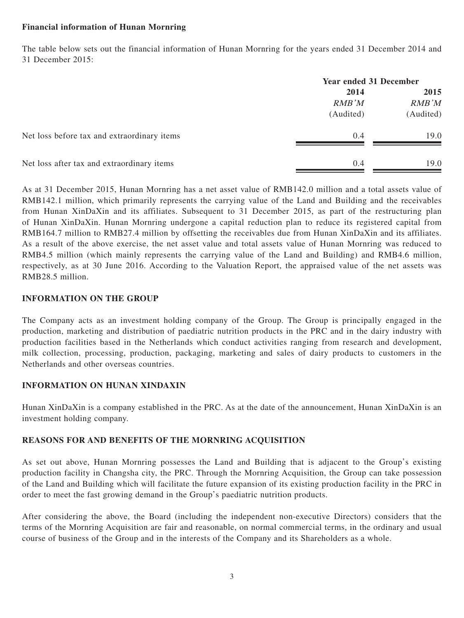#### **Financial information of Hunan Mornring**

The table below sets out the financial information of Hunan Mornring for the years ended 31 December 2014 and 31 December 2015:

|                                             | <b>Year ended 31 December</b> |           |
|---------------------------------------------|-------------------------------|-----------|
|                                             | 2014                          | 2015      |
|                                             | <b>RMB</b> 'M                 | RMB'M     |
|                                             | (Audited)                     | (Audited) |
| Net loss before tax and extraordinary items | 0.4                           | 19.0      |
| Net loss after tax and extraordinary items  | 0.4                           | 19.0      |

As at 31 December 2015, Hunan Mornring has a net asset value of RMB142.0 million and a total assets value of RMB142.1 million, which primarily represents the carrying value of the Land and Building and the receivables from Hunan XinDaXin and its affiliates. Subsequent to 31 December 2015, as part of the restructuring plan of Hunan XinDaXin. Hunan Mornring undergone a capital reduction plan to reduce its registered capital from RMB164.7 million to RMB27.4 million by offsetting the receivables due from Hunan XinDaXin and its affiliates. As a result of the above exercise, the net asset value and total assets value of Hunan Mornring was reduced to RMB4.5 million (which mainly represents the carrying value of the Land and Building) and RMB4.6 million, respectively, as at 30 June 2016. According to the Valuation Report, the appraised value of the net assets was RMB28.5 million.

## **INFORMATION ON THE GROUP**

The Company acts as an investment holding company of the Group. The Group is principally engaged in the production, marketing and distribution of paediatric nutrition products in the PRC and in the dairy industry with production facilities based in the Netherlands which conduct activities ranging from research and development, milk collection, processing, production, packaging, marketing and sales of dairy products to customers in the Netherlands and other overseas countries.

## **INFORMATION ON HUNAN XINDAXIN**

Hunan XinDaXin is a company established in the PRC. As at the date of the announcement, Hunan XinDaXin is an investment holding company.

#### **REASONS FOR AND BENEFITS OF THE MORNRING ACQUISITION**

As set out above, Hunan Mornring possesses the Land and Building that is adjacent to the Group's existing production facility in Changsha city, the PRC. Through the Mornring Acquisition, the Group can take possession of the Land and Building which will facilitate the future expansion of its existing production facility in the PRC in order to meet the fast growing demand in the Group's paediatric nutrition products.

After considering the above, the Board (including the independent non-executive Directors) considers that the terms of the Mornring Acquisition are fair and reasonable, on normal commercial terms, in the ordinary and usual course of business of the Group and in the interests of the Company and its Shareholders as a whole.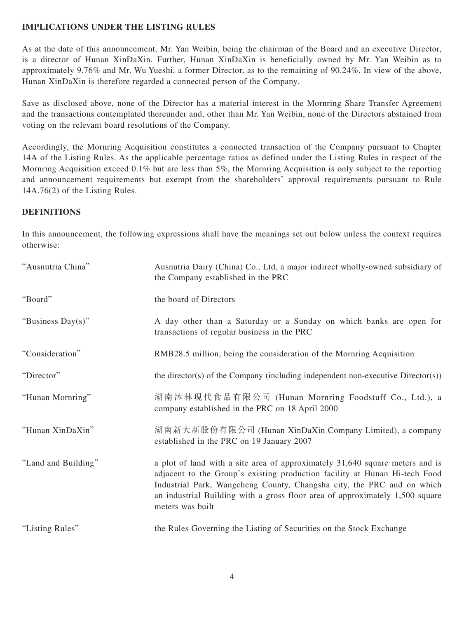## **IMPLICATIONS UNDER THE LISTING RULES**

As at the date of this announcement, Mr. Yan Weibin, being the chairman of the Board and an executive Director, is a director of Hunan XinDaXin. Further, Hunan XinDaXin is beneficially owned by Mr. Yan Weibin as to approximately 9.76% and Mr. Wu Yueshi, a former Director, as to the remaining of 90.24%. In view of the above, Hunan XinDaXin is therefore regarded a connected person of the Company.

Save as disclosed above, none of the Director has a material interest in the Mornring Share Transfer Agreement and the transactions contemplated thereunder and, other than Mr. Yan Weibin, none of the Directors abstained from voting on the relevant board resolutions of the Company.

Accordingly, the Mornring Acquisition constitutes a connected transaction of the Company pursuant to Chapter 14A of the Listing Rules. As the applicable percentage ratios as defined under the Listing Rules in respect of the Mornring Acquisition exceed 0.1% but are less than 5%, the Mornring Acquisition is only subject to the reporting and announcement requirements but exempt from the shareholders' approval requirements pursuant to Rule 14A.76(2) of the Listing Rules.

#### **DEFINITIONS**

In this announcement, the following expressions shall have the meanings set out below unless the context requires otherwise:

| "Ausnutria China"   | Ausnutria Dairy (China) Co., Ltd, a major indirect wholly-owned subsidiary of<br>the Company established in the PRC                                                                                                                                                                                                                      |
|---------------------|------------------------------------------------------------------------------------------------------------------------------------------------------------------------------------------------------------------------------------------------------------------------------------------------------------------------------------------|
| "Board"             | the board of Directors                                                                                                                                                                                                                                                                                                                   |
| "Business Day(s)"   | A day other than a Saturday or a Sunday on which banks are open for<br>transactions of regular business in the PRC                                                                                                                                                                                                                       |
| "Consideration"     | RMB28.5 million, being the consideration of the Mornring Acquisition                                                                                                                                                                                                                                                                     |
| "Director"          | the director(s) of the Company (including independent non-executive Director(s))                                                                                                                                                                                                                                                         |
| "Hunan Mornring"    | 湖南沐林現代食品有限公司 (Hunan Mornring Foodstuff Co., Ltd.), a<br>company established in the PRC on 18 April 2000                                                                                                                                                                                                                                  |
| "Hunan XinDaXin"    | 湖南新大新股份有限公司 (Hunan XinDaXin Company Limited), a company<br>established in the PRC on 19 January 2007                                                                                                                                                                                                                                     |
| "Land and Building" | a plot of land with a site area of approximately 31,640 square meters and is<br>adjacent to the Group's existing production facility at Hunan Hi-tech Food<br>Industrial Park, Wangcheng County, Changsha city, the PRC and on which<br>an industrial Building with a gross floor area of approximately 1,500 square<br>meters was built |
| "Listing Rules"     | the Rules Governing the Listing of Securities on the Stock Exchange                                                                                                                                                                                                                                                                      |